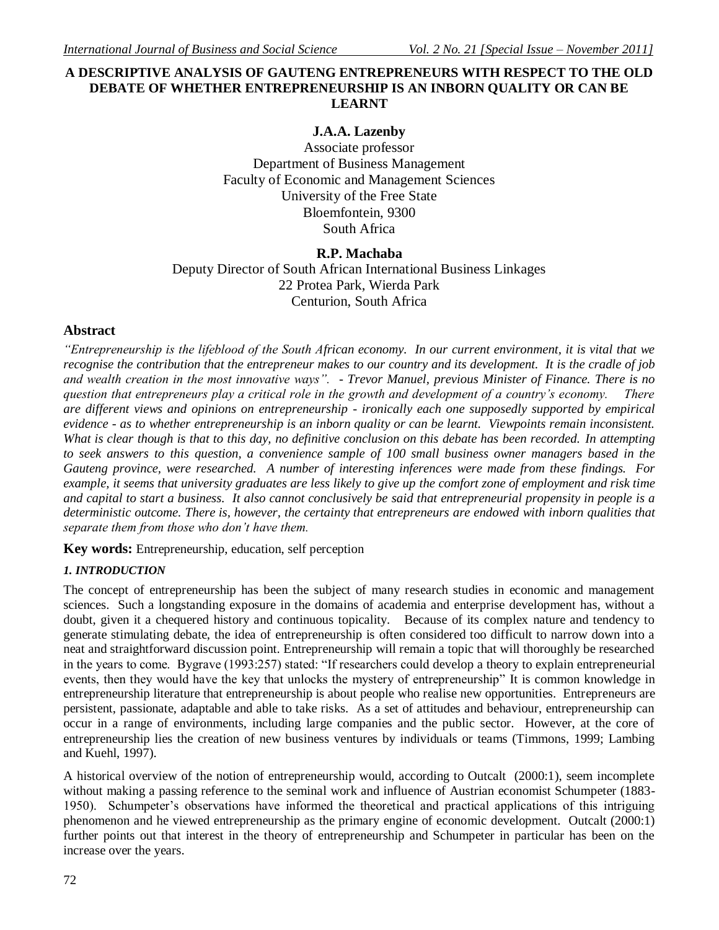## **A DESCRIPTIVE ANALYSIS OF GAUTENG ENTREPRENEURS WITH RESPECT TO THE OLD DEBATE OF WHETHER ENTREPRENEURSHIP IS AN INBORN QUALITY OR CAN BE LEARNT**

## **J.A.A. Lazenby**

Associate professor Department of Business Management Faculty of Economic and Management Sciences University of the Free State Bloemfontein, 9300 South Africa

## **R.P. Machaba**

Deputy Director of South African International Business Linkages 22 Protea Park, Wierda Park Centurion, South Africa

## **Abstract**

*"Entrepreneurship is the lifeblood of the South African economy. In our current environment, it is vital that we recognise the contribution that the entrepreneur makes to our country and its development. It is the cradle of job and wealth creation in the most innovative ways". - Trevor Manuel, previous Minister of Finance. There is no question that entrepreneurs play a critical role in the growth and development of a country's economy. There are different views and opinions on entrepreneurship - ironically each one supposedly supported by empirical evidence - as to whether entrepreneurship is an inborn quality or can be learnt. Viewpoints remain inconsistent. What is clear though is that to this day, no definitive conclusion on this debate has been recorded. In attempting to seek answers to this question, a convenience sample of 100 small business owner managers based in the Gauteng province, were researched. A number of interesting inferences were made from these findings. For example, it seems that university graduates are less likely to give up the comfort zone of employment and risk time and capital to start a business. It also cannot conclusively be said that entrepreneurial propensity in people is a deterministic outcome. There is, however, the certainty that entrepreneurs are endowed with inborn qualities that separate them from those who don't have them.*

**Key words:** Entrepreneurship, education, self perception

## *1. INTRODUCTION*

The concept of entrepreneurship has been the subject of many research studies in economic and management sciences. Such a longstanding exposure in the domains of academia and enterprise development has, without a doubt, given it a chequered history and continuous topicality. Because of its complex nature and tendency to generate stimulating debate, the idea of entrepreneurship is often considered too difficult to narrow down into a neat and straightforward discussion point. Entrepreneurship will remain a topic that will thoroughly be researched in the years to come. Bygrave (1993:257) stated: "If researchers could develop a theory to explain entrepreneurial events, then they would have the key that unlocks the mystery of entrepreneurship" It is common knowledge in entrepreneurship literature that entrepreneurship is about people who realise new opportunities. Entrepreneurs are persistent, passionate, adaptable and able to take risks. As a set of attitudes and behaviour, entrepreneurship can occur in a range of environments, including large companies and the public sector. However, at the core of entrepreneurship lies the creation of new business ventures by individuals or teams (Timmons, 1999; Lambing and Kuehl, 1997).

A historical overview of the notion of entrepreneurship would, according to Outcalt (2000:1), seem incomplete without making a passing reference to the seminal work and influence of Austrian economist Schumpeter (1883- 1950). Schumpeter's observations have informed the theoretical and practical applications of this intriguing phenomenon and he viewed entrepreneurship as the primary engine of economic development. Outcalt (2000:1) further points out that interest in the theory of entrepreneurship and Schumpeter in particular has been on the increase over the years.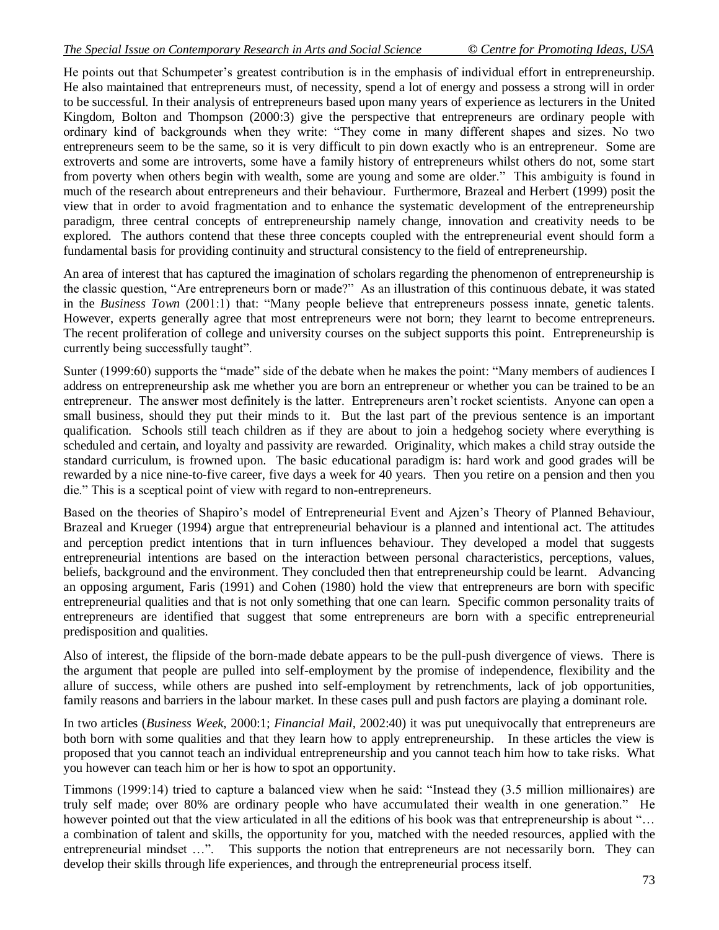He points out that Schumpeter's greatest contribution is in the emphasis of individual effort in entrepreneurship. He also maintained that entrepreneurs must, of necessity, spend a lot of energy and possess a strong will in order to be successful. In their analysis of entrepreneurs based upon many years of experience as lecturers in the United Kingdom, Bolton and Thompson (2000:3) give the perspective that entrepreneurs are ordinary people with ordinary kind of backgrounds when they write: "They come in many different shapes and sizes. No two entrepreneurs seem to be the same, so it is very difficult to pin down exactly who is an entrepreneur. Some are extroverts and some are introverts, some have a family history of entrepreneurs whilst others do not, some start from poverty when others begin with wealth, some are young and some are older." This ambiguity is found in much of the research about entrepreneurs and their behaviour. Furthermore, Brazeal and Herbert (1999) posit the view that in order to avoid fragmentation and to enhance the systematic development of the entrepreneurship paradigm, three central concepts of entrepreneurship namely change, innovation and creativity needs to be explored. The authors contend that these three concepts coupled with the entrepreneurial event should form a fundamental basis for providing continuity and structural consistency to the field of entrepreneurship.

An area of interest that has captured the imagination of scholars regarding the phenomenon of entrepreneurship is the classic question, "Are entrepreneurs born or made?" As an illustration of this continuous debate, it was stated in the *Business Town* (2001:1) that: "Many people believe that entrepreneurs possess innate, genetic talents. However, experts generally agree that most entrepreneurs were not born; they learnt to become entrepreneurs. The recent proliferation of college and university courses on the subject supports this point. Entrepreneurship is currently being successfully taught".

Sunter (1999:60) supports the "made" side of the debate when he makes the point: "Many members of audiences I address on entrepreneurship ask me whether you are born an entrepreneur or whether you can be trained to be an entrepreneur. The answer most definitely is the latter. Entrepreneurs aren't rocket scientists. Anyone can open a small business, should they put their minds to it. But the last part of the previous sentence is an important qualification. Schools still teach children as if they are about to join a hedgehog society where everything is scheduled and certain, and loyalty and passivity are rewarded. Originality, which makes a child stray outside the standard curriculum, is frowned upon. The basic educational paradigm is: hard work and good grades will be rewarded by a nice nine-to-five career, five days a week for 40 years. Then you retire on a pension and then you die." This is a sceptical point of view with regard to non-entrepreneurs.

Based on the theories of Shapiro's model of Entrepreneurial Event and Ajzen's Theory of Planned Behaviour, Brazeal and Krueger (1994) argue that entrepreneurial behaviour is a planned and intentional act. The attitudes and perception predict intentions that in turn influences behaviour. They developed a model that suggests entrepreneurial intentions are based on the interaction between personal characteristics, perceptions, values, beliefs, background and the environment. They concluded then that entrepreneurship could be learnt. Advancing an opposing argument, Faris (1991) and Cohen (1980) hold the view that entrepreneurs are born with specific entrepreneurial qualities and that is not only something that one can learn. Specific common personality traits of entrepreneurs are identified that suggest that some entrepreneurs are born with a specific entrepreneurial predisposition and qualities.

Also of interest, the flipside of the born-made debate appears to be the pull-push divergence of views. There is the argument that people are pulled into self-employment by the promise of independence, flexibility and the allure of success, while others are pushed into self-employment by retrenchments, lack of job opportunities, family reasons and barriers in the labour market. In these cases pull and push factors are playing a dominant role.

In two articles (*Business Week,* 2000:1; *Financial Mail,* 2002:40) it was put unequivocally that entrepreneurs are both born with some qualities and that they learn how to apply entrepreneurship. In these articles the view is proposed that you cannot teach an individual entrepreneurship and you cannot teach him how to take risks. What you however can teach him or her is how to spot an opportunity.

Timmons (1999:14) tried to capture a balanced view when he said: "Instead they (3.5 million millionaires) are truly self made; over 80% are ordinary people who have accumulated their wealth in one generation." He however pointed out that the view articulated in all the editions of his book was that entrepreneurship is about "... a combination of talent and skills, the opportunity for you, matched with the needed resources, applied with the entrepreneurial mindset ...". This supports the notion that entrepreneurs are not necessarily born. They can develop their skills through life experiences, and through the entrepreneurial process itself.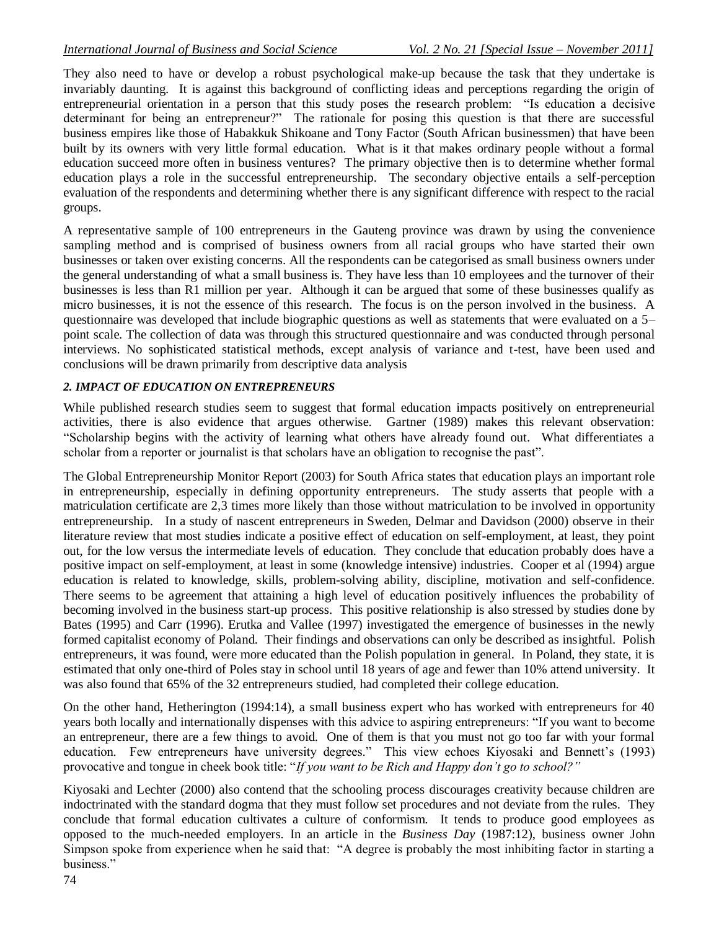They also need to have or develop a robust psychological make-up because the task that they undertake is invariably daunting. It is against this background of conflicting ideas and perceptions regarding the origin of entrepreneurial orientation in a person that this study poses the research problem: "Is education a decisive determinant for being an entrepreneur?" The rationale for posing this question is that there are successful business empires like those of Habakkuk Shikoane and Tony Factor (South African businessmen) that have been built by its owners with very little formal education. What is it that makes ordinary people without a formal education succeed more often in business ventures? The primary objective then is to determine whether formal education plays a role in the successful entrepreneurship. The secondary objective entails a self-perception evaluation of the respondents and determining whether there is any significant difference with respect to the racial groups.

A representative sample of 100 entrepreneurs in the Gauteng province was drawn by using the convenience sampling method and is comprised of business owners from all racial groups who have started their own businesses or taken over existing concerns. All the respondents can be categorised as small business owners under the general understanding of what a small business is. They have less than 10 employees and the turnover of their businesses is less than R1 million per year. Although it can be argued that some of these businesses qualify as micro businesses, it is not the essence of this research. The focus is on the person involved in the business. A questionnaire was developed that include biographic questions as well as statements that were evaluated on a 5– point scale. The collection of data was through this structured questionnaire and was conducted through personal interviews. No sophisticated statistical methods, except analysis of variance and t-test, have been used and conclusions will be drawn primarily from descriptive data analysis

## *2. IMPACT OF EDUCATION ON ENTREPRENEURS*

While published research studies seem to suggest that formal education impacts positively on entrepreneurial activities, there is also evidence that argues otherwise. Gartner (1989) makes this relevant observation: "Scholarship begins with the activity of learning what others have already found out. What differentiates a scholar from a reporter or journalist is that scholars have an obligation to recognise the past".

The Global Entrepreneurship Monitor Report (2003) for South Africa states that education plays an important role in entrepreneurship, especially in defining opportunity entrepreneurs. The study asserts that people with a matriculation certificate are 2,3 times more likely than those without matriculation to be involved in opportunity entrepreneurship. In a study of nascent entrepreneurs in Sweden, Delmar and Davidson (2000) observe in their literature review that most studies indicate a positive effect of education on self-employment, at least, they point out, for the low versus the intermediate levels of education. They conclude that education probably does have a positive impact on self-employment, at least in some (knowledge intensive) industries. Cooper et al (1994) argue education is related to knowledge, skills, problem-solving ability, discipline, motivation and self-confidence. There seems to be agreement that attaining a high level of education positively influences the probability of becoming involved in the business start-up process. This positive relationship is also stressed by studies done by Bates (1995) and Carr (1996). Erutka and Vallee (1997) investigated the emergence of businesses in the newly formed capitalist economy of Poland. Their findings and observations can only be described as insightful. Polish entrepreneurs, it was found, were more educated than the Polish population in general. In Poland, they state, it is estimated that only one-third of Poles stay in school until 18 years of age and fewer than 10% attend university. It was also found that 65% of the 32 entrepreneurs studied, had completed their college education.

On the other hand, Hetherington (1994:14), a small business expert who has worked with entrepreneurs for 40 years both locally and internationally dispenses with this advice to aspiring entrepreneurs: "If you want to become an entrepreneur, there are a few things to avoid. One of them is that you must not go too far with your formal education. Few entrepreneurs have university degrees." This view echoes Kiyosaki and Bennett's (1993) provocative and tongue in cheek book title: "*If you want to be Rich and Happy don't go to school?"*

Kiyosaki and Lechter (2000) also contend that the schooling process discourages creativity because children are indoctrinated with the standard dogma that they must follow set procedures and not deviate from the rules. They conclude that formal education cultivates a culture of conformism. It tends to produce good employees as opposed to the much-needed employers. In an article in the *Business Day* (1987:12), business owner John Simpson spoke from experience when he said that: "A degree is probably the most inhibiting factor in starting a business."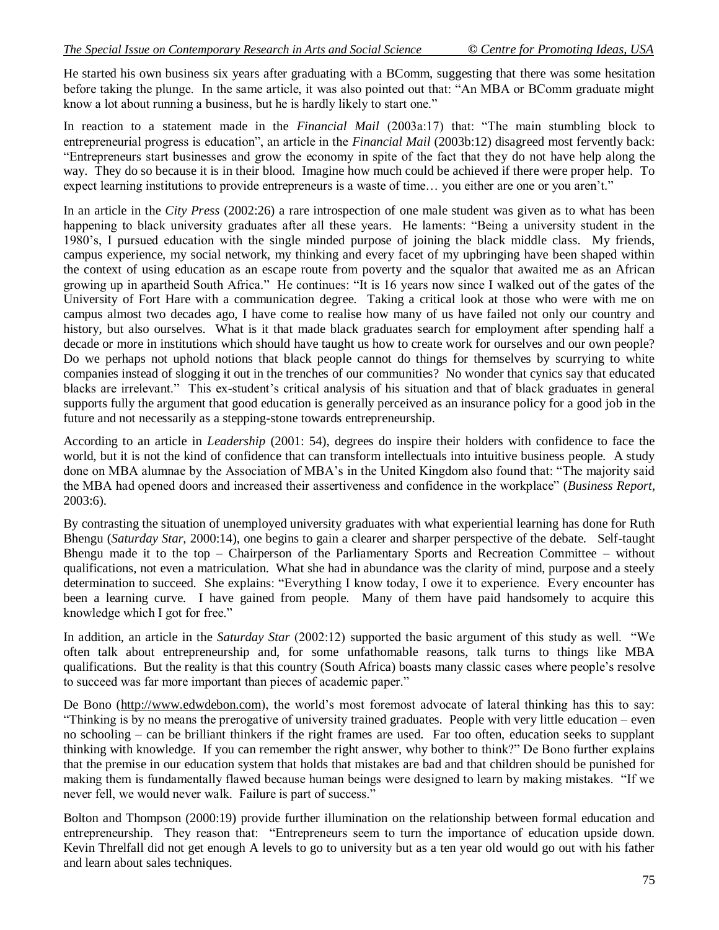He started his own business six years after graduating with a BComm, suggesting that there was some hesitation before taking the plunge. In the same article, it was also pointed out that: "An MBA or BComm graduate might know a lot about running a business, but he is hardly likely to start one."

In reaction to a statement made in the *Financial Mail* (2003a:17) that: "The main stumbling block to entrepreneurial progress is education", an article in the *Financial Mail* (2003b:12) disagreed most fervently back: "Entrepreneurs start businesses and grow the economy in spite of the fact that they do not have help along the way. They do so because it is in their blood. Imagine how much could be achieved if there were proper help. To expect learning institutions to provide entrepreneurs is a waste of time… you either are one or you aren't."

In an article in the *City Press* (2002:26) a rare introspection of one male student was given as to what has been happening to black university graduates after all these years. He laments: "Being a university student in the 1980's, I pursued education with the single minded purpose of joining the black middle class. My friends, campus experience, my social network, my thinking and every facet of my upbringing have been shaped within the context of using education as an escape route from poverty and the squalor that awaited me as an African growing up in apartheid South Africa." He continues: "It is 16 years now since I walked out of the gates of the University of Fort Hare with a communication degree. Taking a critical look at those who were with me on campus almost two decades ago, I have come to realise how many of us have failed not only our country and history, but also ourselves. What is it that made black graduates search for employment after spending half a decade or more in institutions which should have taught us how to create work for ourselves and our own people? Do we perhaps not uphold notions that black people cannot do things for themselves by scurrying to white companies instead of slogging it out in the trenches of our communities? No wonder that cynics say that educated blacks are irrelevant." This ex-student's critical analysis of his situation and that of black graduates in general supports fully the argument that good education is generally perceived as an insurance policy for a good job in the future and not necessarily as a stepping-stone towards entrepreneurship.

According to an article in *Leadership* (2001: 54), degrees do inspire their holders with confidence to face the world, but it is not the kind of confidence that can transform intellectuals into intuitive business people. A study done on MBA alumnae by the Association of MBA's in the United Kingdom also found that: "The majority said the MBA had opened doors and increased their assertiveness and confidence in the workplace" (*Business Report,* 2003:6).

By contrasting the situation of unemployed university graduates with what experiential learning has done for Ruth Bhengu (*Saturday Star,* 2000:14), one begins to gain a clearer and sharper perspective of the debate. Self-taught Bhengu made it to the top – Chairperson of the Parliamentary Sports and Recreation Committee – without qualifications, not even a matriculation. What she had in abundance was the clarity of mind, purpose and a steely determination to succeed. She explains: "Everything I know today, I owe it to experience. Every encounter has been a learning curve. I have gained from people. Many of them have paid handsomely to acquire this knowledge which I got for free."

In addition, an article in the *Saturday Star* (2002:12) supported the basic argument of this study as well. "We often talk about entrepreneurship and, for some unfathomable reasons, talk turns to things like MBA qualifications. But the reality is that this country (South Africa) boasts many classic cases where people's resolve to succeed was far more important than pieces of academic paper."

De Bono (http://www.edwdebon.com), the world's most foremost advocate of lateral thinking has this to say: "Thinking is by no means the prerogative of university trained graduates. People with very little education – even no schooling – can be brilliant thinkers if the right frames are used. Far too often, education seeks to supplant thinking with knowledge. If you can remember the right answer, why bother to think?" De Bono further explains that the premise in our education system that holds that mistakes are bad and that children should be punished for making them is fundamentally flawed because human beings were designed to learn by making mistakes. "If we never fell, we would never walk. Failure is part of success."

Bolton and Thompson (2000:19) provide further illumination on the relationship between formal education and entrepreneurship. They reason that: "Entrepreneurs seem to turn the importance of education upside down. Kevin Threlfall did not get enough A levels to go to university but as a ten year old would go out with his father and learn about sales techniques.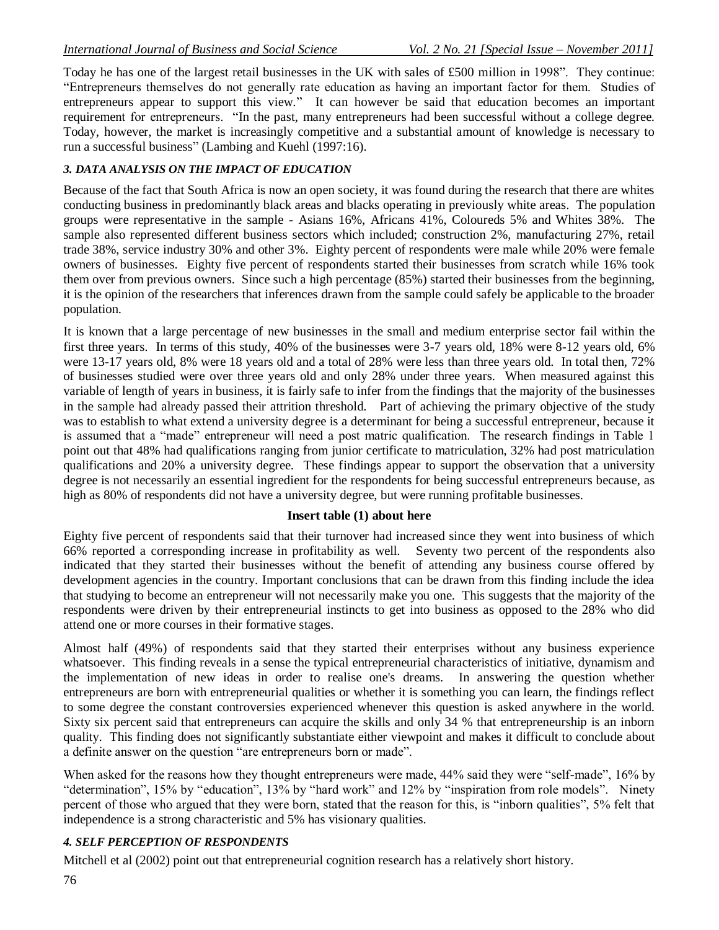Today he has one of the largest retail businesses in the UK with sales of £500 million in 1998". They continue: "Entrepreneurs themselves do not generally rate education as having an important factor for them. Studies of entrepreneurs appear to support this view." It can however be said that education becomes an important requirement for entrepreneurs. "In the past, many entrepreneurs had been successful without a college degree. Today, however, the market is increasingly competitive and a substantial amount of knowledge is necessary to run a successful business" (Lambing and Kuehl (1997:16).

#### *3. DATA ANALYSIS ON THE IMPACT OF EDUCATION*

Because of the fact that South Africa is now an open society, it was found during the research that there are whites conducting business in predominantly black areas and blacks operating in previously white areas. The population groups were representative in the sample - Asians 16%, Africans 41%, Coloureds 5% and Whites 38%. The sample also represented different business sectors which included; construction 2%, manufacturing 27%, retail trade 38%, service industry 30% and other 3%. Eighty percent of respondents were male while 20% were female owners of businesses. Eighty five percent of respondents started their businesses from scratch while 16% took them over from previous owners. Since such a high percentage (85%) started their businesses from the beginning, it is the opinion of the researchers that inferences drawn from the sample could safely be applicable to the broader population.

It is known that a large percentage of new businesses in the small and medium enterprise sector fail within the first three years. In terms of this study, 40% of the businesses were 3-7 years old, 18% were 8-12 years old, 6% were 13-17 years old, 8% were 18 years old and a total of 28% were less than three years old. In total then, 72% of businesses studied were over three years old and only 28% under three years. When measured against this variable of length of years in business, it is fairly safe to infer from the findings that the majority of the businesses in the sample had already passed their attrition threshold. Part of achieving the primary objective of the study was to establish to what extend a university degree is a determinant for being a successful entrepreneur, because it is assumed that a "made" entrepreneur will need a post matric qualification. The research findings in Table 1 point out that 48% had qualifications ranging from junior certificate to matriculation, 32% had post matriculation qualifications and 20% a university degree. These findings appear to support the observation that a university degree is not necessarily an essential ingredient for the respondents for being successful entrepreneurs because, as high as 80% of respondents did not have a university degree, but were running profitable businesses.

#### **Insert table (1) about here**

Eighty five percent of respondents said that their turnover had increased since they went into business of which 66% reported a corresponding increase in profitability as well. Seventy two percent of the respondents also indicated that they started their businesses without the benefit of attending any business course offered by development agencies in the country. Important conclusions that can be drawn from this finding include the idea that studying to become an entrepreneur will not necessarily make you one. This suggests that the majority of the respondents were driven by their entrepreneurial instincts to get into business as opposed to the 28% who did attend one or more courses in their formative stages.

Almost half (49%) of respondents said that they started their enterprises without any business experience whatsoever. This finding reveals in a sense the typical entrepreneurial characteristics of initiative, dynamism and the implementation of new ideas in order to realise one's dreams. In answering the question whether entrepreneurs are born with entrepreneurial qualities or whether it is something you can learn, the findings reflect to some degree the constant controversies experienced whenever this question is asked anywhere in the world. Sixty six percent said that entrepreneurs can acquire the skills and only 34 % that entrepreneurship is an inborn quality. This finding does not significantly substantiate either viewpoint and makes it difficult to conclude about a definite answer on the question "are entrepreneurs born or made".

When asked for the reasons how they thought entrepreneurs were made, 44% said they were "self-made", 16% by "determination", 15% by "education", 13% by "hard work" and 12% by "inspiration from role models". Ninety percent of those who argued that they were born, stated that the reason for this, is "inborn qualities", 5% felt that independence is a strong characteristic and 5% has visionary qualities.

#### *4. SELF PERCEPTION OF RESPONDENTS*

Mitchell et al (2002) point out that entrepreneurial cognition research has a relatively short history.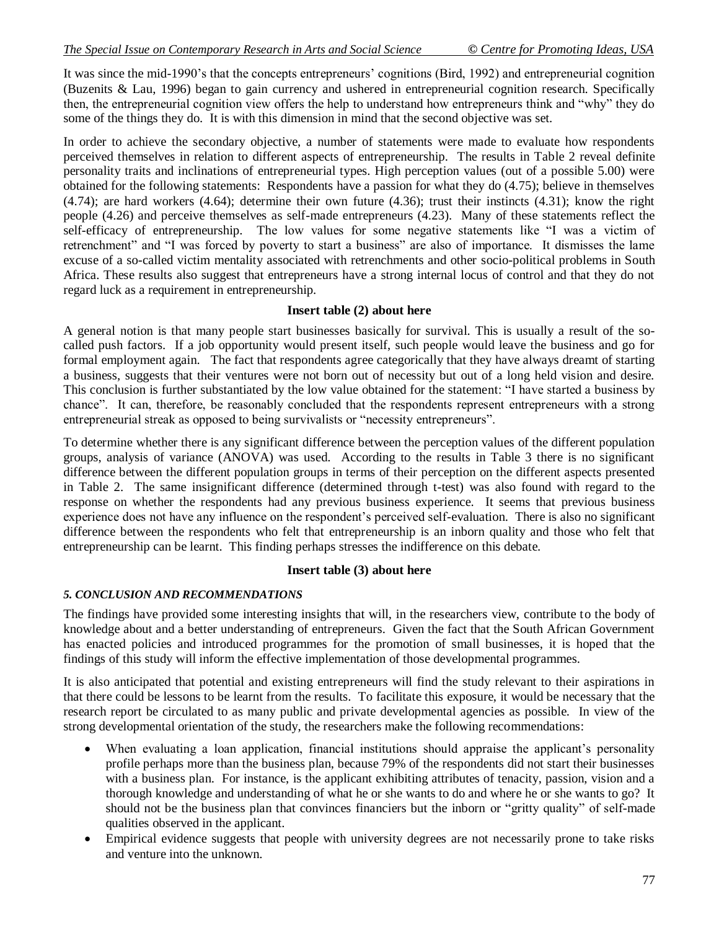It was since the mid-1990's that the concepts entrepreneurs' cognitions (Bird, 1992) and entrepreneurial cognition (Buzenits & Lau, 1996) began to gain currency and ushered in entrepreneurial cognition research. Specifically then, the entrepreneurial cognition view offers the help to understand how entrepreneurs think and "why" they do some of the things they do. It is with this dimension in mind that the second objective was set.

In order to achieve the secondary objective, a number of statements were made to evaluate how respondents perceived themselves in relation to different aspects of entrepreneurship. The results in Table 2 reveal definite personality traits and inclinations of entrepreneurial types. High perception values (out of a possible 5.00) were obtained for the following statements: Respondents have a passion for what they do (4.75); believe in themselves (4.74); are hard workers (4.64); determine their own future (4.36); trust their instincts (4.31); know the right people (4.26) and perceive themselves as self-made entrepreneurs (4.23). Many of these statements reflect the self-efficacy of entrepreneurship. The low values for some negative statements like "I was a victim of retrenchment" and "I was forced by poverty to start a business" are also of importance. It dismisses the lame excuse of a so-called victim mentality associated with retrenchments and other socio-political problems in South Africa. These results also suggest that entrepreneurs have a strong internal locus of control and that they do not regard luck as a requirement in entrepreneurship.

### **Insert table (2) about here**

A general notion is that many people start businesses basically for survival. This is usually a result of the socalled push factors. If a job opportunity would present itself, such people would leave the business and go for formal employment again. The fact that respondents agree categorically that they have always dreamt of starting a business, suggests that their ventures were not born out of necessity but out of a long held vision and desire. This conclusion is further substantiated by the low value obtained for the statement: "I have started a business by chance". It can, therefore, be reasonably concluded that the respondents represent entrepreneurs with a strong entrepreneurial streak as opposed to being survivalists or "necessity entrepreneurs".

To determine whether there is any significant difference between the perception values of the different population groups, analysis of variance (ANOVA) was used. According to the results in Table 3 there is no significant difference between the different population groups in terms of their perception on the different aspects presented in Table 2. The same insignificant difference (determined through t-test) was also found with regard to the response on whether the respondents had any previous business experience. It seems that previous business experience does not have any influence on the respondent's perceived self-evaluation. There is also no significant difference between the respondents who felt that entrepreneurship is an inborn quality and those who felt that entrepreneurship can be learnt. This finding perhaps stresses the indifference on this debate.

#### **Insert table (3) about here**

#### *5. CONCLUSION AND RECOMMENDATIONS*

The findings have provided some interesting insights that will, in the researchers view, contribute to the body of knowledge about and a better understanding of entrepreneurs. Given the fact that the South African Government has enacted policies and introduced programmes for the promotion of small businesses, it is hoped that the findings of this study will inform the effective implementation of those developmental programmes.

It is also anticipated that potential and existing entrepreneurs will find the study relevant to their aspirations in that there could be lessons to be learnt from the results. To facilitate this exposure, it would be necessary that the research report be circulated to as many public and private developmental agencies as possible. In view of the strong developmental orientation of the study, the researchers make the following recommendations:

- When evaluating a loan application, financial institutions should appraise the applicant's personality profile perhaps more than the business plan, because 79% of the respondents did not start their businesses with a business plan. For instance, is the applicant exhibiting attributes of tenacity, passion, vision and a thorough knowledge and understanding of what he or she wants to do and where he or she wants to go? It should not be the business plan that convinces financiers but the inborn or "gritty quality" of self-made qualities observed in the applicant.
- Empirical evidence suggests that people with university degrees are not necessarily prone to take risks and venture into the unknown.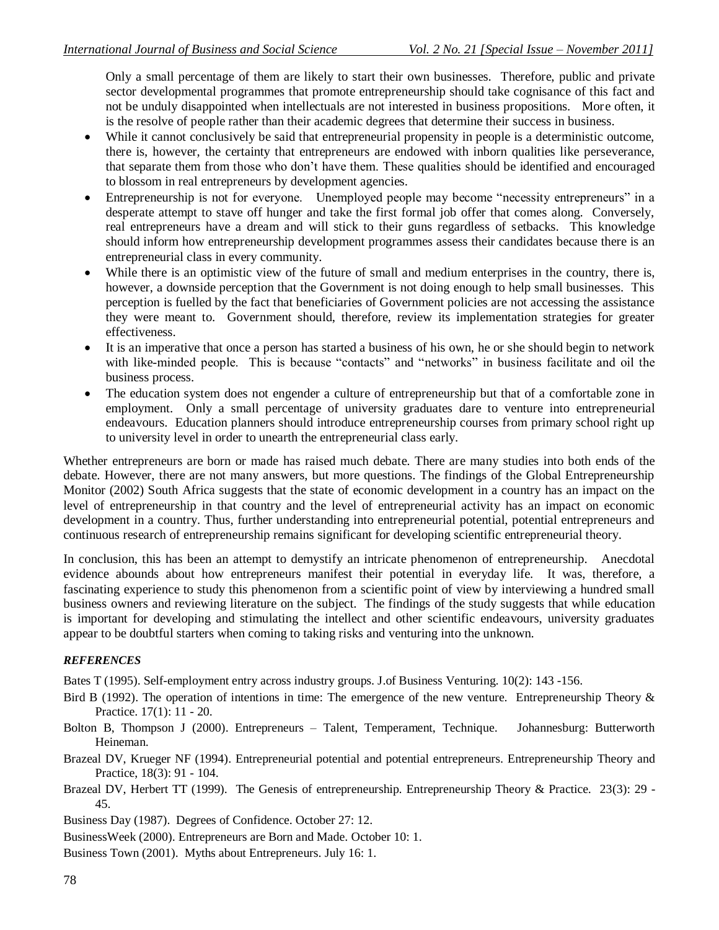Only a small percentage of them are likely to start their own businesses. Therefore, public and private sector developmental programmes that promote entrepreneurship should take cognisance of this fact and not be unduly disappointed when intellectuals are not interested in business propositions. More often, it is the resolve of people rather than their academic degrees that determine their success in business.

- While it cannot conclusively be said that entrepreneurial propensity in people is a deterministic outcome, there is, however, the certainty that entrepreneurs are endowed with inborn qualities like perseverance, that separate them from those who don't have them. These qualities should be identified and encouraged to blossom in real entrepreneurs by development agencies.
- Entrepreneurship is not for everyone. Unemployed people may become "necessity entrepreneurs" in a desperate attempt to stave off hunger and take the first formal job offer that comes along. Conversely, real entrepreneurs have a dream and will stick to their guns regardless of setbacks. This knowledge should inform how entrepreneurship development programmes assess their candidates because there is an entrepreneurial class in every community.
- While there is an optimistic view of the future of small and medium enterprises in the country, there is, however, a downside perception that the Government is not doing enough to help small businesses. This perception is fuelled by the fact that beneficiaries of Government policies are not accessing the assistance they were meant to. Government should, therefore, review its implementation strategies for greater effectiveness.
- It is an imperative that once a person has started a business of his own, he or she should begin to network with like-minded people. This is because "contacts" and "networks" in business facilitate and oil the business process.
- The education system does not engender a culture of entrepreneurship but that of a comfortable zone in employment. Only a small percentage of university graduates dare to venture into entrepreneurial endeavours. Education planners should introduce entrepreneurship courses from primary school right up to university level in order to unearth the entrepreneurial class early.

Whether entrepreneurs are born or made has raised much debate. There are many studies into both ends of the debate. However, there are not many answers, but more questions. The findings of the Global Entrepreneurship Monitor (2002) South Africa suggests that the state of economic development in a country has an impact on the level of entrepreneurship in that country and the level of entrepreneurial activity has an impact on economic development in a country. Thus, further understanding into entrepreneurial potential, potential entrepreneurs and continuous research of entrepreneurship remains significant for developing scientific entrepreneurial theory.

In conclusion, this has been an attempt to demystify an intricate phenomenon of entrepreneurship. Anecdotal evidence abounds about how entrepreneurs manifest their potential in everyday life. It was, therefore, a fascinating experience to study this phenomenon from a scientific point of view by interviewing a hundred small business owners and reviewing literature on the subject. The findings of the study suggests that while education is important for developing and stimulating the intellect and other scientific endeavours, university graduates appear to be doubtful starters when coming to taking risks and venturing into the unknown.

#### *REFERENCES*

Bates T (1995). Self-employment entry across industry groups. J.of Business Venturing. 10(2): 143 -156.

- Bird B (1992). The operation of intentions in time: The emergence of the new venture. Entrepreneurship Theory & Practice. 17(1): 11 - 20.
- Bolton B, Thompson J (2000). Entrepreneurs Talent, Temperament, Technique. Johannesburg: Butterworth Heineman.
- Brazeal DV, Krueger NF (1994). Entrepreneurial potential and potential entrepreneurs. Entrepreneurship Theory and Practice, 18(3): 91 - 104.
- Brazeal DV, Herbert TT (1999). The Genesis of entrepreneurship. Entrepreneurship Theory & Practice. 23(3): 29 45.

Business Day (1987). Degrees of Confidence. October 27: 12.

BusinessWeek (2000). Entrepreneurs are Born and Made. October 10: 1.

Business Town (2001). Myths about Entrepreneurs. July 16: 1.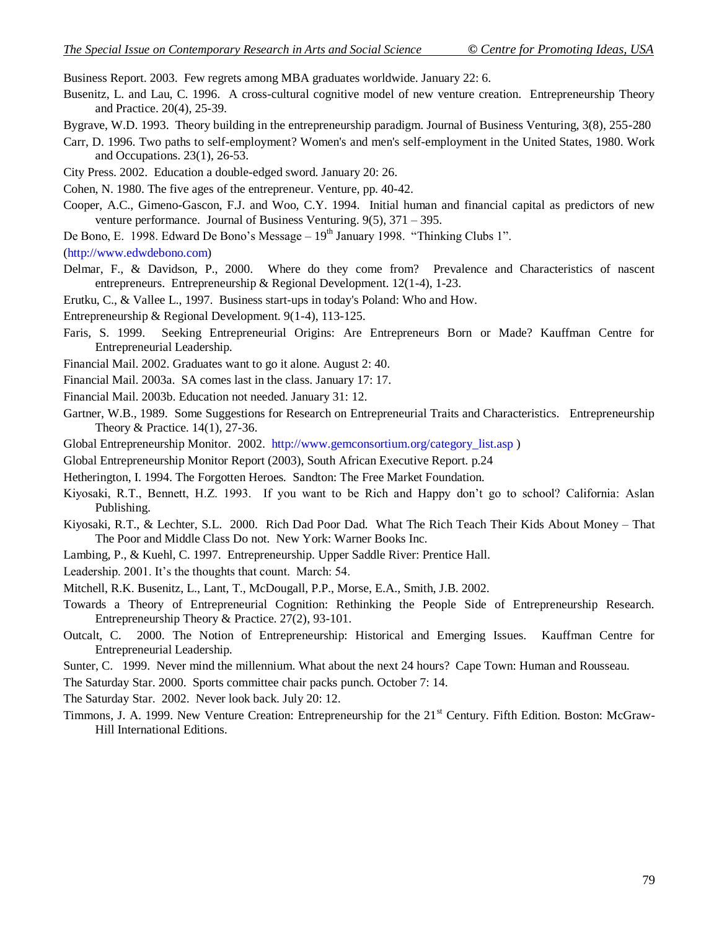Business Report. 2003. Few regrets among MBA graduates worldwide. January 22: 6.

- Busenitz, L. and Lau, C. 1996. A cross-cultural cognitive model of new venture creation. Entrepreneurship Theory and Practice. 20(4), 25-39.
- Bygrave, W.D. 1993. Theory building in the entrepreneurship paradigm. Journal of Business Venturing, 3(8), 255-280
- Carr, D. 1996. Two paths to self-employment? Women's and men's self-employment in the United States, 1980. Work and Occupations. 23(1), 26-53.
- City Press. 2002. Education a double-edged sword. January 20: 26.
- Cohen, N. 1980. The five ages of the entrepreneur. Venture, pp. 40-42.
- Cooper, A.C., Gimeno-Gascon, F.J. and Woo, C.Y. 1994. Initial human and financial capital as predictors of new venture performance. Journal of Business Venturing. 9(5), 371 – 395.
- De Bono, E. 1998. Edward De Bono's Message 19<sup>th</sup> January 1998. "Thinking Clubs 1".
- [\(http://www.edwdebono.com\)](http://www.edwdebono.com/)
- Delmar, F., & Davidson, P., 2000. Where do they come from? Prevalence and Characteristics of nascent entrepreneurs. Entrepreneurship & Regional Development. 12(1-4), 1-23.
- Erutku, C., & Vallee L., 1997. Business start-ups in today's Poland: Who and How.
- Entrepreneurship & Regional Development. 9(1-4), 113-125.
- Faris, S. 1999. Seeking Entrepreneurial Origins: Are Entrepreneurs Born or Made? Kauffman Centre for Entrepreneurial Leadership.
- Financial Mail. 2002. Graduates want to go it alone. August 2: 40.
- Financial Mail. 2003a. SA comes last in the class. January 17: 17.
- Financial Mail. 2003b. Education not needed. January 31: 12.
- Gartner, W.B., 1989. Some Suggestions for Research on Entrepreneurial Traits and Characteristics. Entrepreneurship Theory & Practice. 14(1), 27-36.
- Global Entrepreneurship Monitor. 2002. [http://www.gemconsortium.org/category\\_list.asp](http://www.gemconsortium.org/category_list.asp) )
- Global Entrepreneurship Monitor Report (2003), South African Executive Report. p.24

Hetherington, I. 1994. The Forgotten Heroes*.* Sandton: The Free Market Foundation.

- Kiyosaki, R.T., Bennett, H.Z. 1993. If you want to be Rich and Happy don't go to school? California: Aslan Publishing.
- Kiyosaki, R.T., & Lechter, S.L. 2000. Rich Dad Poor Dad. What The Rich Teach Their Kids About Money That The Poor and Middle Class Do not.New York: Warner Books Inc.
- Lambing, P., & Kuehl, C. 1997. Entrepreneurship. Upper Saddle River: Prentice Hall.
- Leadership. 2001. It's the thoughts that count. March: 54.
- Mitchell, R.K. Busenitz, L., Lant, T., McDougall, P.P., Morse, E.A., Smith, J.B. 2002.
- Towards a Theory of Entrepreneurial Cognition: Rethinking the People Side of Entrepreneurship Research. Entrepreneurship Theory & Practice. 27(2), 93-101.
- Outcalt, C. 2000. The Notion of Entrepreneurship: Historical and Emerging Issues. Kauffman Centre for Entrepreneurial Leadership.
- Sunter, C. 1999. Never mind the millennium. What about the next 24 hours? Cape Town: Human and Rousseau.
- The Saturday Star. 2000. Sports committee chair packs punch. October 7: 14.
- The Saturday Star. 2002. Never look back. July 20: 12.
- Timmons, J. A. 1999. New Venture Creation: Entrepreneurship for the 21<sup>st</sup> Century. Fifth Edition. Boston: McGraw-Hill International Editions.